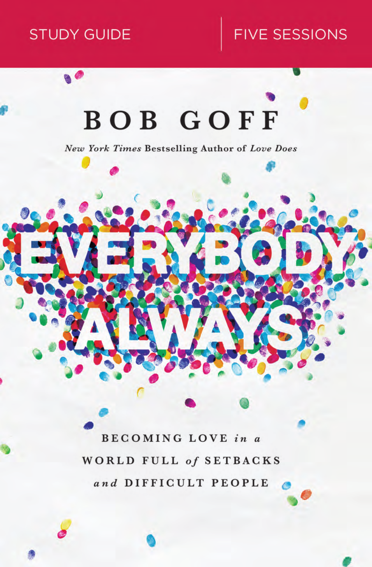## **STUDY GUIDE**

# **FIVE SESSIONS**

# **BOB GOFF**

New York Times Bestselling Author of Love Does

**BECOMING LOVE in a** WORLD FULL of SETBACKS and DIFFICULT PEOPLE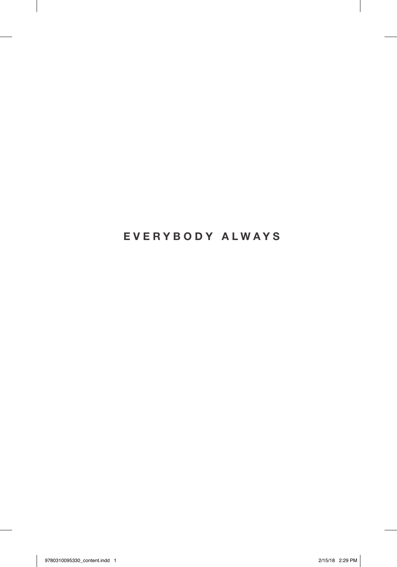#### **EVERYBODY ALWAYS**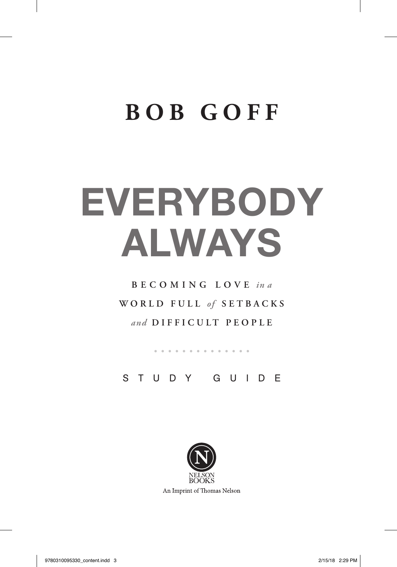# **BOB GOFF**

# **EVERYBODY ALWAYS**

# **BECOMING LOVE** *in a* **WORLD FULL** *of* **SETBA CKS** *and* **DIFFICULT PEOPLE**

#### STUDY GUIDE

. . . . . . . . . . . . . .

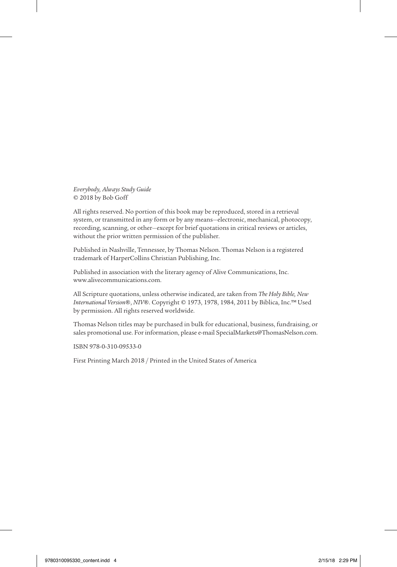*Everybody, Always Study Guide* © 2018 by Bob Goff

All rights reserved. No portion of this book may be reproduced, stored in a retrieval system, or transmitted in any form or by any means—electronic, mechanical, photocopy, recording, scanning, or other—except for brief quotations in critical reviews or articles, without the prior written permission of the publisher.

Published in Nashville, Tennessee, by Thomas Nelson. Thomas Nelson is a registered trademark of HarperCollins Christian Publishing, Inc.

Published in association with the literary agency of Alive Communications, Inc. www.alivecommunications.com.

All Scripture quotations, unless otherwise indicated, are taken from *The Holy Bible, New International Version*®, *NIV*®. Copyright © 1973, 1978, 1984, 2011 by Biblica, Inc.™ Used by permission. All rights reserved worldwide.

Thomas Nelson titles may be purchased in bulk for educational, business, fundraising, or sales promotional use. For information, please e-mail SpecialMarkets@ThomasNelson.com.

ISBN 978-0-310-09533-0

First Printing March 2018 / Printed in the United States of America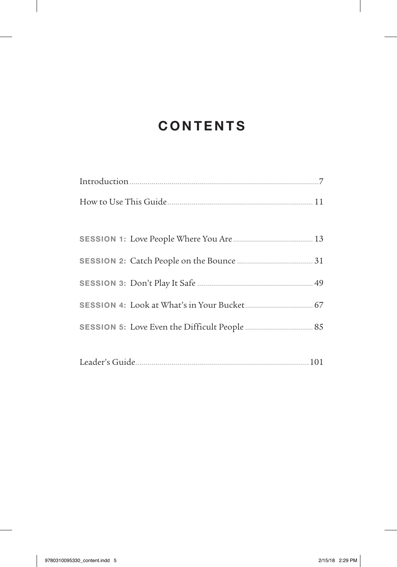# **CONTENTS**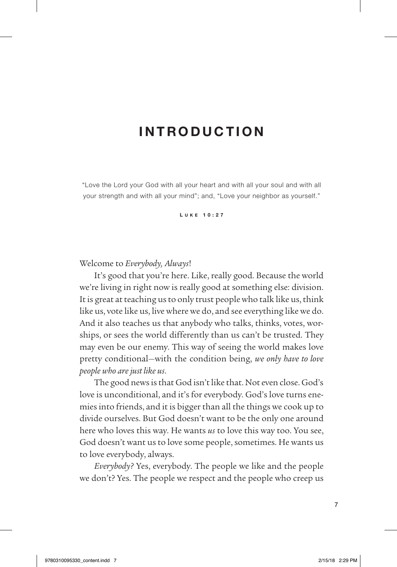#### **INTRODUCTION**

"Love the Lord your God with all your heart and with all your soul and with all your strength and with all your mind"; and, "Love your neighbor as yourself."

**L u k e 1 0 : 2 7**

Welcome to *Everybody, Always*!

It's good that you're here. Like, really good. Because the world we're living in right now is really good at something else: division. It is great at teaching us to only trust people who talk like us, think like us, vote like us, live where we do, and see everything like we do. And it also teaches us that anybody who talks, thinks, votes, worships, or sees the world differently than us can't be trusted. They may even be our enemy. This way of seeing the world makes love pretty conditional—with the condition being, *we only have to love people who are just like us*.

The good news is that God isn't like that. Not even close. God's love is unconditional, and it's for everybody. God's love turns enemies into friends, and it is bigger than all the things we cook up to divide ourselves. But God doesn't want to be the only one around here who loves this way. He wants *us* to love this way too. You see, God doesn't want us to love some people, sometimes. He wants us to love everybody, always.

*Everybody?* Yes, everybody. The people we like and the people we don't? Yes. The people we respect and the people who creep us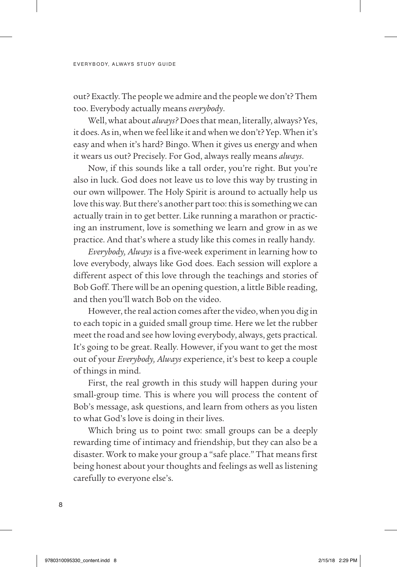out? Exactly. The people we admire and the people we don't? Them too. Everybody actually means *everybody*.

Well, what about *always?* Does that mean, literally, always? Yes, it does. As in, when we feel like it and when we don't? Yep. When it's easy and when it's hard? Bingo. When it gives us energy and when it wears us out? Precisely. For God, always really means *always*.

Now, if this sounds like a tall order, you're right. But you're also in luck. God does not leave us to love this way by trusting in our own willpower. The Holy Spirit is around to actually help us love this way. But there's another part too: this is something we can actually train in to get better. Like running a marathon or practicing an instrument, love is something we learn and grow in as we practice. And that's where a study like this comes in really handy.

*Everybody, Always* is a five-week experiment in learning how to love everybody, always like God does. Each session will explore a different aspect of this love through the teachings and stories of Bob Goff. There will be an opening question, a little Bible reading, and then you'll watch Bob on the video.

However, the real action comes after the video, when you dig in to each topic in a guided small group time. Here we let the rubber meet the road and see how loving everybody, always, gets practical. It's going to be great. Really. However, if you want to get the most out of your *Everybody, Always* experience, it's best to keep a couple of things in mind.

First, the real growth in this study will happen during your small-group time. This is where you will process the content of Bob's message, ask questions, and learn from others as you listen to what God's love is doing in their lives.

Which bring us to point two: small groups can be a deeply rewarding time of intimacy and friendship, but they can also be a disaster. Work to make your group a "safe place." That means first being honest about your thoughts and feelings as well as listening carefully to everyone else's.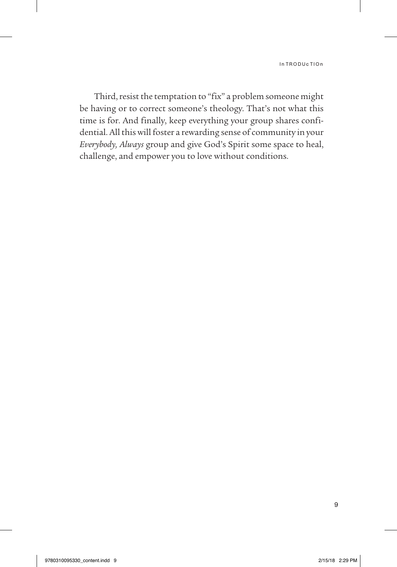Third, resist the temptation to "fix" a problem someone might be having or to correct someone's theology. That's not what this time is for. And finally, keep everything your group shares confidential. All this will foster a rewarding sense of community in your *Everybody, Always* group and give God's Spirit some space to heal, challenge, and empower you to love without conditions.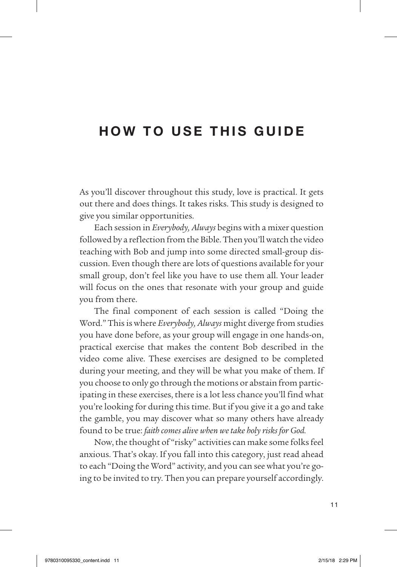#### **HOW TO USE THIS GUIDE**

As you'll discover throughout this study, love is practical. It gets out there and does things. It takes risks. This study is designed to give you similar opportunities.

Each session in *Everybody, Always* begins with a mixer question followed by a reflection from the Bible. Then you'll watch the video teaching with Bob and jump into some directed small-group discussion. Even though there are lots of questions available for your small group, don't feel like you have to use them all. Your leader will focus on the ones that resonate with your group and guide you from there.

The final component of each session is called "Doing the Word." This is where *Everybody, Always* might diverge from studies you have done before, as your group will engage in one hands-on, practical exercise that makes the content Bob described in the video come alive. These exercises are designed to be completed during your meeting, and they will be what you make of them. If you choose to only go through the motions or abstain from participating in these exercises, there is a lot less chance you'll find what you're looking for during this time. But if you give it a go and take the gamble, you may discover what so many others have already found to be true: *faith comes alive when we take holy risks for God.*

Now, the thought of "risky" activities can make some folks feel anxious. That's okay. If you fall into this category, just read ahead to each "Doing the Word" activity, and you can see what you're going to be invited to try. Then you can prepare yourself accordingly.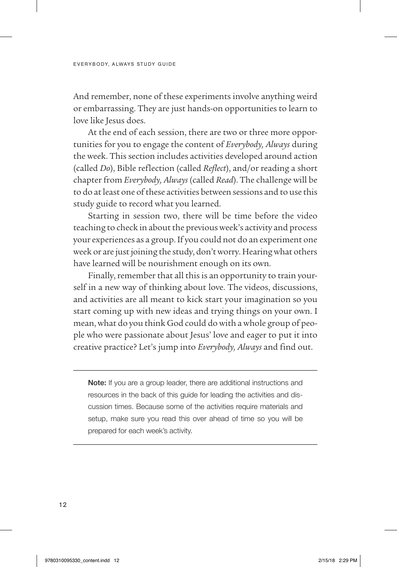And remember, none of these experiments involve anything weird or embarrassing. They are just hands-on opportunities to learn to love like Jesus does.

At the end of each session, there are two or three more opportunities for you to engage the content of *Everybody, Always* during the week. This section includes activities developed around action (called *Do*), Bible reflection (called *Reflect*), and/or reading a short chapter from *Everybody, Always* (called *Read*). The challenge will be to do at least one of these activities between sessions and to use this study guide to record what you learned.

Starting in session two, there will be time before the video teaching to check in about the previous week's activity and process your experiences as a group. If you could not do an experiment one week or are just joining the study, don't worry. Hearing what others have learned will be nourishment enough on its own.

Finally, remember that all this is an opportunity to train yourself in a new way of thinking about love. The videos, discussions, and activities are all meant to kick start your imagination so you start coming up with new ideas and trying things on your own. I mean, what do you think God could do with a whole group of people who were passionate about Jesus' love and eager to put it into creative practice? Let's jump into *Everybody, Always* and find out.

Note: If you are a group leader, there are additional instructions and resources in the back of this guide for leading the activities and discussion times. Because some of the activities require materials and setup, make sure you read this over ahead of time so you will be prepared for each week's activity.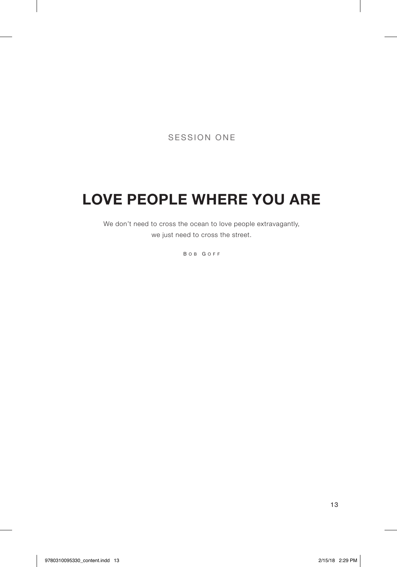SESSION ONE

# **LOVE PEOPLE WHERE YOU ARE**

We don't need to cross the ocean to love people extravagantly, we just need to cross the street.

B o b G o f f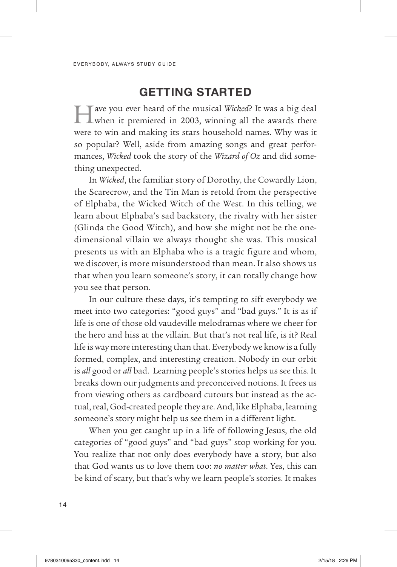#### **GETTING STARTED**

Have you ever heard of the musical *Wicked*? It was a big deal when it premiered in 2003, winning all the awards there were to win and making its stars household names. Why was it so popular? Well, aside from amazing songs and great performances, *Wicked* took the story of the *Wizard of Oz* and did something unexpected.

In *Wicked*, the familiar story of Dorothy, the Cowardly Lion, the Scarecrow, and the Tin Man is retold from the perspective of Elphaba, the Wicked Witch of the West. In this telling, we learn about Elphaba's sad backstory, the rivalry with her sister (Glinda the Good Witch), and how she might not be the onedimensional villain we always thought she was. This musical presents us with an Elphaba who is a tragic figure and whom, we discover, is more misunderstood than mean. It also shows us that when you learn someone's story, it can totally change how you see that person.

In our culture these days, it's tempting to sift everybody we meet into two categories: "good guys" and "bad guys." It is as if life is one of those old vaudeville melodramas where we cheer for the hero and hiss at the villain. But that's not real life, is it? Real life is way more interesting than that. Everybody we know is a fully formed, complex, and interesting creation. Nobody in our orbit is *all* good or *all* bad. Learning people's stories helps us see this. It breaks down our judgments and preconceived notions. It frees us from viewing others as cardboard cutouts but instead as the actual, real, God-created people they are. And, like Elphaba, learning someone's story might help us see them in a different light.

When you get caught up in a life of following Jesus, the old categories of "good guys" and "bad guys" stop working for you. You realize that not only does everybody have a story, but also that God wants us to love them too: *no matter what*. Yes, this can be kind of scary, but that's why we learn people's stories. It makes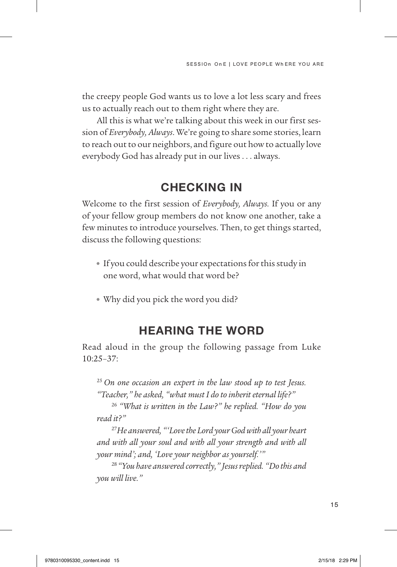the creepy people God wants us to love a lot less scary and frees us to actually reach out to them right where they are.

All this is what we're talking about this week in our first session of *Everybody, Always*. We're going to share some stories, learn to reach out to our neighbors, and figure out how to actually love everybody God has already put in our lives . . . always.

#### **CHECKING IN**

Welcome to the first session of *Everybody, Always.* If you or any of your fellow group members do not know one another, take a few minutes to introduce yourselves. Then, to get things started, discuss the following questions:

- **•** If you could describe your expectations for this study in one word, what would that word be?
- **•** Why did you pick the word you did?

#### **HEARING THE WORD**

Read aloud in the group the following passage from Luke 10:25–37:

<sup>25</sup>*On one occasion an expert in the law stood up to test Jesus.* 

*"Teacher," he asked, "what must I do to inherit eternal life?"*

<sup>26</sup> *"What is written in the Law?" he replied. "How do you read it?"*

<sup>27</sup>*He answered, "'Love the Lord your God with all your heart and with all your soul and with all your strength and with all your mind'; and, 'Love your neighbor as yourself.'"*

<sup>28</sup>*"You have answered correctly," Jesus replied. "Do this and you will live."*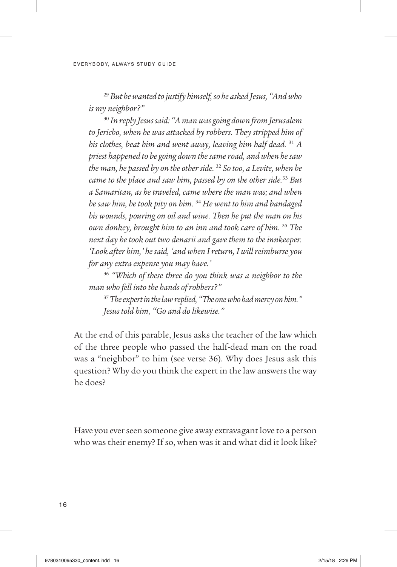<sup>29</sup> But he wanted to justify himself, so he asked Jesus, "And who *is my neighbor?"*

<sup>30</sup> *In reply Jesus said: "A man was going down from Jerusalem to Jericho, when he was attacked by robbers. They stripped him of his clothes, beat him and went away, leaving him half dead.* <sup>31</sup> *A priest happened to be going down the same road, and when he saw the man, he passed by on the other side.* <sup>32</sup> *So too, a Levite, when he came to the place and saw him, passed by on the other side.*<sup>33</sup> *But a Samaritan, as he traveled, came where the man was; and when he saw him, he took pity on him.* <sup>34</sup> *He went to him and bandaged his wounds, pouring on oil and wine. Then he put the man on his own donkey, brought him to an inn and took care of him.* <sup>35</sup> *The next day he took out two denarii and gave them to the innkeeper. 'Look after him,' he said, 'and when I return, I will reimburse you for any extra expense you may have.'*

<sup>36</sup> *"Which of these three do you think was a neighbor to the man who fell into the hands of robbers?"*

<sup>37</sup>*The expert in the law replied, "The one who had mercy on him." Jesus told him, "Go and do likewise."*

At the end of this parable, Jesus asks the teacher of the law which of the three people who passed the half-dead man on the road was a "neighbor" to him (see verse 36). Why does Jesus ask this question? Why do you think the expert in the law answers the way he does?

Have you ever seen someone give away extravagant love to a person who was their enemy? If so, when was it and what did it look like?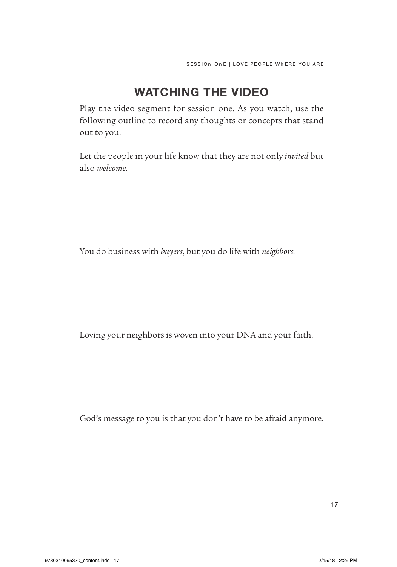#### **WATCHING THE VIDEO**

Play the video segment for session one. As you watch, use the following outline to record any thoughts or concepts that stand out to you.

Let the people in your life know that they are not only *invited* but also *welcome.*

You do business with *buyers*, but you do life with *neighbors.*

Loving your neighbors is woven into your DNA and your faith.

God's message to you is that you don't have to be afraid anymore.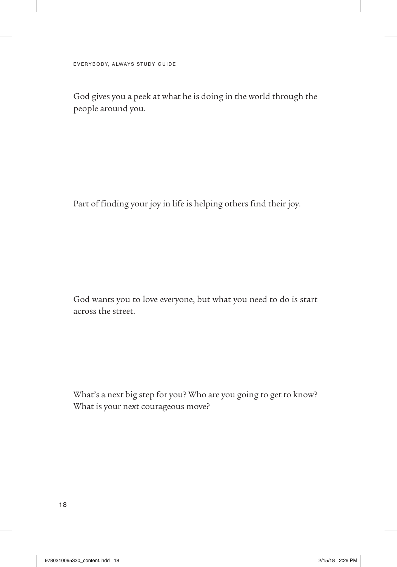God gives you a peek at what he is doing in the world through the people around you.

Part of finding your joy in life is helping others find their joy.

God wants you to love everyone, but what you need to do is start across the street.

What's a next big step for you? Who are you going to get to know? What is your next courageous move?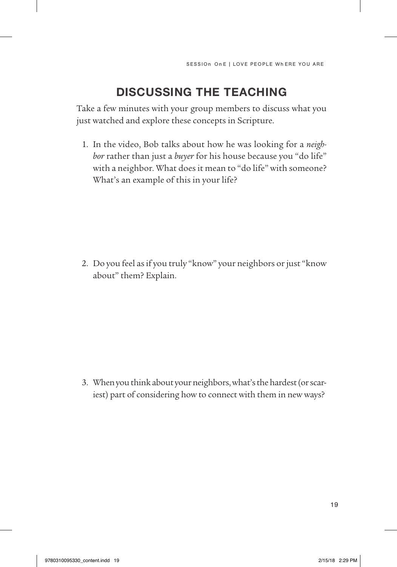## **DISCUSSING THE TEACHING**

Take a few minutes with your group members to discuss what you just watched and explore these concepts in Scripture.

1. In the video, Bob talks about how he was looking for a *neighbor* rather than just a *buyer* for his house because you "do life" with a neighbor. What does it mean to "do life" with someone? What's an example of this in your life?

2. Do you feel as if you truly "know" your neighbors or just "know about" them? Explain.

3. When you think about your neighbors, what's the hardest (or scariest) part of considering how to connect with them in new ways?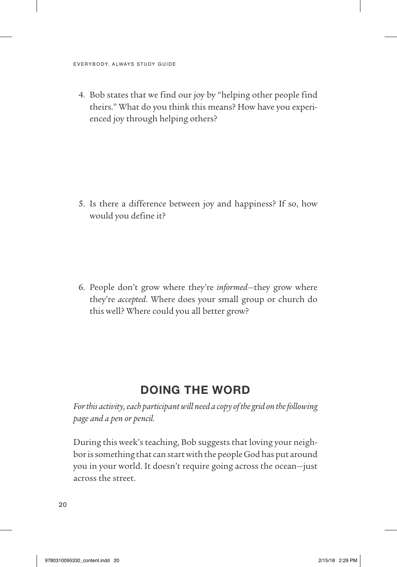4. Bob states that we find our joy by "helping other people find theirs." What do you think this means? How have you experienced joy through helping others?

5. Is there a difference between joy and happiness? If so, how would you define it?

6. People don't grow where they're *informed*—they grow where they're *accepted*. Where does your small group or church do this well? Where could you all better grow?

#### **DOING THE WORD**

*For this activity, each participant will need a copy of the grid on the following page and a pen or pencil.* 

During this week's teaching, Bob suggests that loving your neighbor is something that can start with the people God has put around you in your world. It doesn't require going across the ocean—just across the street.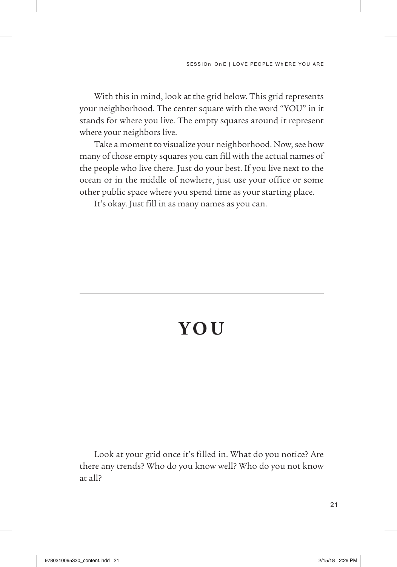With this in mind, look at the grid below. This grid represents your neighborhood. The center square with the word "YOU" in it stands for where you live. The empty squares around it represent where your neighbors live.

Take a moment to visualize your neighborhood. Now, see how many of those empty squares you can fill with the actual names of the people who live there. Just do your best. If you live next to the ocean or in the middle of nowhere, just use your office or some other public space where you spend time as your starting place.

It's okay. Just fill in as many names as you can.



Look at your grid once it's filled in. What do you notice? Are there any trends? Who do you know well? Who do you not know at all?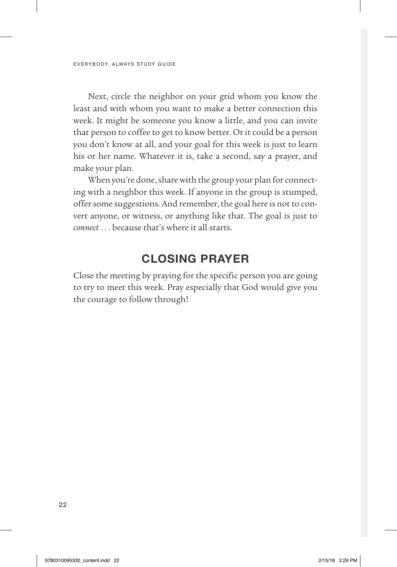Next, circle the neighbor on your grid whom you know the least and with whom you want to make a better connection this week. It might be someone you know a little, and you can invite that person to coffee to get to know better. Or it could be a person you don't know at all, and your goal for this week is just to learn his or her name. Whatever it is, take a second, say a prayer, and make your plan.

When you're done, share with the group your plan for connecting with a neighbor this week. If anyone in the group is stumped, offer some suggestions. And remember, the goal here is not to convert anyone, or witness, or anything like that. The goal is just to *connect* . . . because that's where it all starts.

#### **CLOSING PRAYER**

Close the meeting by praying for the specific person you are going to try to meet this week. Pray especially that God would give you the courage to follow through!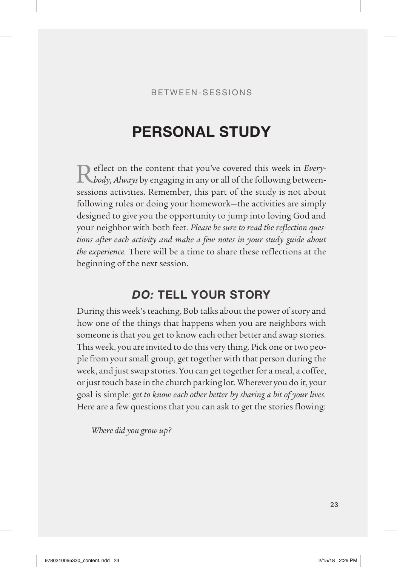## **PERSONAL STUDY**

Reflect on the content that you've covered this week in *Every-body, Always* by engaging in any or all of the following betweensessions activities. Remember, this part of the study is not about following rules or doing your homework—the activities are simply designed to give you the opportunity to jump into loving God and your neighbor with both feet. *Please be sure to read the reflection questions after each activity and make a few notes in your study guide about the experience.* There will be a time to share these reflections at the beginning of the next session.

#### *DO:* **TELL YOUR STORY**

During this week's teaching, Bob talks about the power of story and how one of the things that happens when you are neighbors with someone is that you get to know each other better and swap stories. This week, you are invited to do this very thing. Pick one or two people from your small group, get together with that person during the week, and just swap stories. You can get together for a meal, a coffee, or just touch base in the church parking lot. Wherever you do it, your goal is simple: *get to know each other better by sharing a bit of your lives.* Here are a few questions that you can ask to get the stories flowing:

*Where did you grow up?*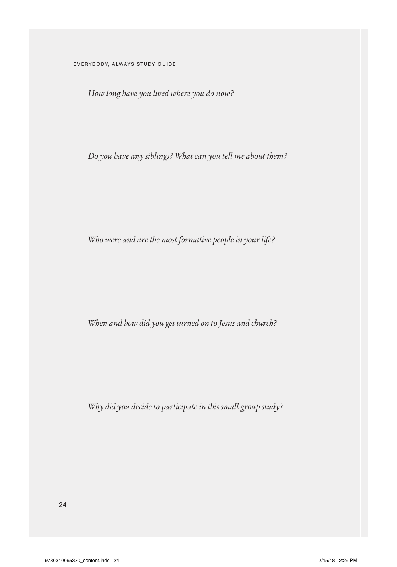*How long have you lived where you do now?*

*Do you have any siblings? What can you tell me about them?*

*Who were and are the most formative people in your life?*

*When and how did you get turned on to Jesus and church?*

*Why did you decide to participate in this small-group study?*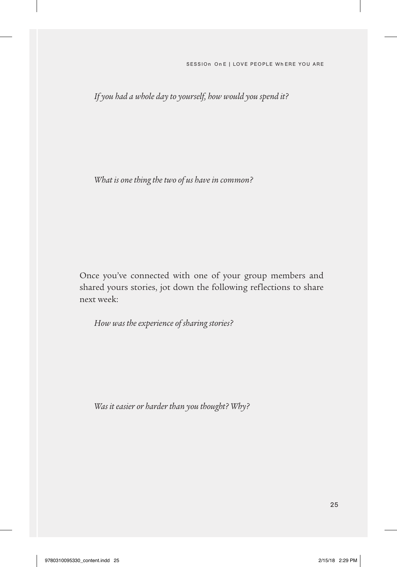*If you had a whole day to yourself, how would you spend it?*

*What is one thing the two of us have in common?*

Once you've connected with one of your group members and shared yours stories, jot down the following reflections to share next week:

*How was the experience of sharing stories?*

*Was it easier or harder than you thought? Why?*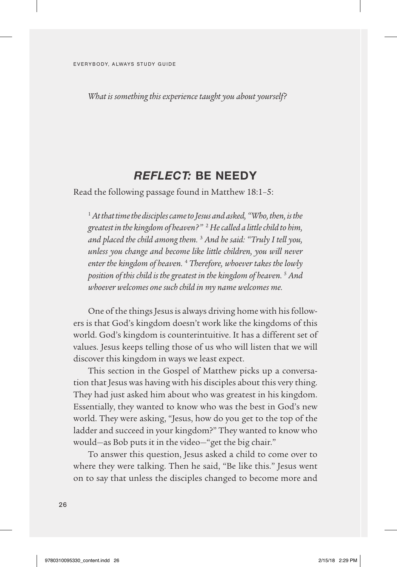*What is something this experience taught you about yourself?*

#### *REFLECT:* **BE NEEDY**

Read the following passage found in Matthew 18:1–5:

<sup>1</sup>*At that time the disciples came to Jesus and asked, "Who, then, is the greatest in the kingdom of heaven?"* <sup>2</sup> *He called a little child to him, and placed the child among them.* <sup>3</sup> *And he said: "Truly I tell you, unless you change and become like little children, you will never enter the kingdom of heaven.* <sup>4</sup> *Therefore, whoever takes the lowly position of this child is the greatest in the kingdom of heaven.* <sup>5</sup> *And whoever welcomes one such child in my name welcomes me.*

One of the things Jesus is always driving home with his followers is that God's kingdom doesn't work like the kingdoms of this world. God's kingdom is counterintuitive. It has a different set of values. Jesus keeps telling those of us who will listen that we will discover this kingdom in ways we least expect.

This section in the Gospel of Matthew picks up a conversation that Jesus was having with his disciples about this very thing. They had just asked him about who was greatest in his kingdom. Essentially, they wanted to know who was the best in God's new world. They were asking, "Jesus, how do you get to the top of the ladder and succeed in your kingdom?" They wanted to know who would—as Bob puts it in the video—"get the big chair."

To answer this question, Jesus asked a child to come over to where they were talking. Then he said, "Be like this." Jesus went on to say that unless the disciples changed to become more and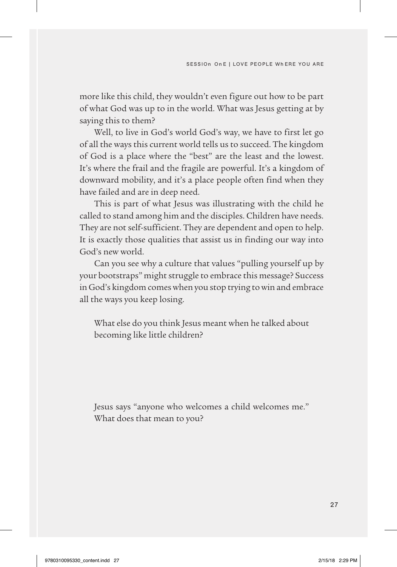more like this child, they wouldn't even figure out how to be part of what God was up to in the world. What was Jesus getting at by saying this to them?

Well, to live in God's world God's way, we have to first let go of all the ways this current world tells us to succeed. The kingdom of God is a place where the "best" are the least and the lowest. It's where the frail and the fragile are powerful. It's a kingdom of downward mobility, and it's a place people often find when they have failed and are in deep need.

This is part of what Jesus was illustrating with the child he called to stand among him and the disciples. Children have needs. They are not self-sufficient. They are dependent and open to help. It is exactly those qualities that assist us in finding our way into God's new world.

Can you see why a culture that values "pulling yourself up by your bootstraps" might struggle to embrace this message? Success in God's kingdom comes when you stop trying to win and embrace all the ways you keep losing.

What else do you think Jesus meant when he talked about becoming like little children?

Jesus says "anyone who welcomes a child welcomes me." What does that mean to you?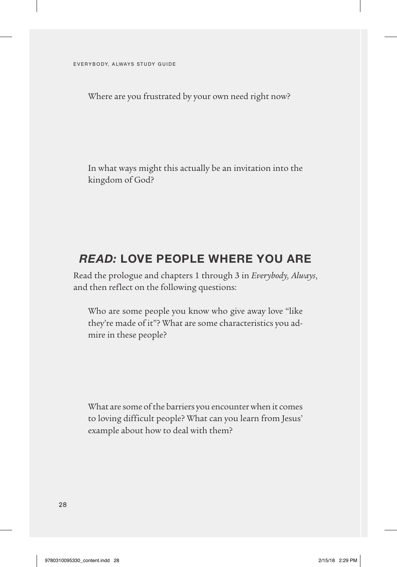Where are you frustrated by your own need right now?

In what ways might this actually be an invitation into the kingdom of God?

#### *READ:* **LOVE PEOPLE WHERE YOU ARE**

Read the prologue and chapters 1 through 3 in *Everybody, Always*, and then reflect on the following questions:

Who are some people you know who give away love "like they're made of it"? What are some characteristics you admire in these people?

What are some of the barriers you encounter when it comes to loving difficult people? What can you learn from Jesus' example about how to deal with them?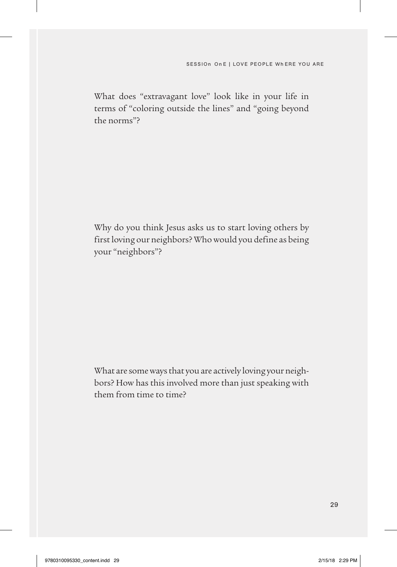What does "extravagant love" look like in your life in terms of "coloring outside the lines" and "going beyond the norms"?

Why do you think Jesus asks us to start loving others by first loving our neighbors? Who would you define as being your "neighbors"?

What are some ways that you are actively loving your neighbors? How has this involved more than just speaking with them from time to time?